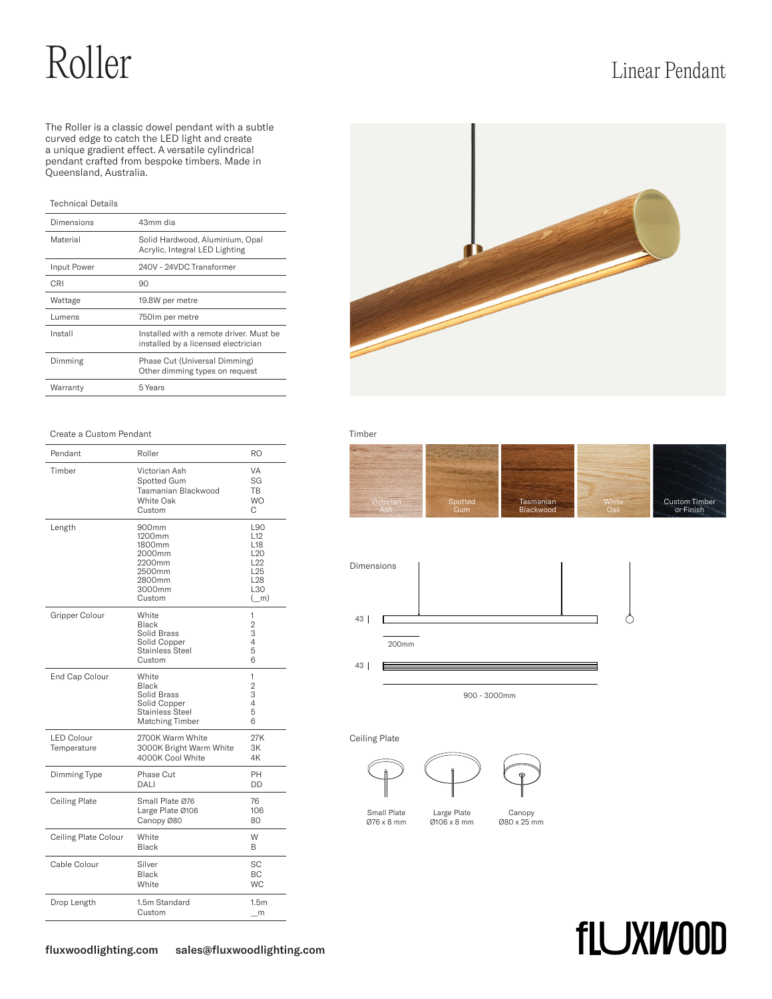# Roller Linear Pendant

The Roller is a classic dowel pendant with a subtle curved edge to catch the LED light and create a unique gradient effect. A versatile cylindrical pendant crafted from bespoke timbers. Made in Queensland, Australia.

## Technical Details

| Dimensions  | 43mm dia                                                                      |
|-------------|-------------------------------------------------------------------------------|
| Material    | Solid Hardwood, Aluminium, Opal<br>Acrylic, Integral LED Lighting             |
| Input Power | 240V - 24VDC Transformer                                                      |
| CRI         | 90                                                                            |
| Wattage     | 19.8W per metre                                                               |
| Lumens      | 750 lm per metre                                                              |
| Install     | Installed with a remote driver Must be<br>installed by a licensed electrician |
| Dimming     | Phase Cut (Universal Dimming)<br>Other dimming types on request               |
| Warranty    | 5 Years                                                                       |

#### Create a Custom Pendant Timber

| Pendant                          | Roller                                                                                            | RO                                                                                                                      |
|----------------------------------|---------------------------------------------------------------------------------------------------|-------------------------------------------------------------------------------------------------------------------------|
| Timber                           | Victorian Ash<br>Spotted Gum<br>Tasmanian Blackwood<br>White Oak<br>Custom                        | VA<br>SG<br><b>TB</b><br><b>WO</b><br>С                                                                                 |
| Length                           | 900mm<br>1200mm<br>1800mm<br>2000mm<br>2200mm<br>2500mm<br>2800mm<br>3000mm<br>Custom             | L90<br>L <sub>12</sub><br>L <sub>18</sub><br>L <sub>20</sub><br>L22<br>L <sub>25</sub><br>L <sub>28</sub><br>L30<br>(m) |
| Gripper Colour                   | White<br>Black<br>Solid Brass<br>Solid Copper<br>Stainless Steel<br>Custom                        | 1<br>2<br>3<br>4<br>5<br>6                                                                                              |
| End Cap Colour                   | White<br><b>Black</b><br>Solid Brass<br>Solid Copper<br><b>Stainless Steel</b><br>Matching Timber | 1<br>$\overline{2}$<br>3<br>4<br>5<br>6                                                                                 |
| <b>LED Colour</b><br>Temperature | 2700K Warm White<br>3000K Bright Warm White<br>4000K Cool White                                   | 27K<br>3K<br>4K                                                                                                         |
| Dimming Type                     | Phase Cut<br>DALI                                                                                 | PH<br>DD                                                                                                                |
| Ceiling Plate                    | Small Plate Ø76<br>Large Plate Ø106<br>Canopy Ø80                                                 | 76<br>106<br>80                                                                                                         |
| Ceiling Plate Colour             | White<br><b>Black</b>                                                                             | W<br>B                                                                                                                  |
| Cable Colour                     | Silver<br>Black<br>White                                                                          | SС<br><b>BC</b><br>WC.                                                                                                  |
| Drop Length                      | 1.5m Standard<br>Custom                                                                           | 1.5m<br>m                                                                                                               |







900 - 3000mm

### Ceiling Plate